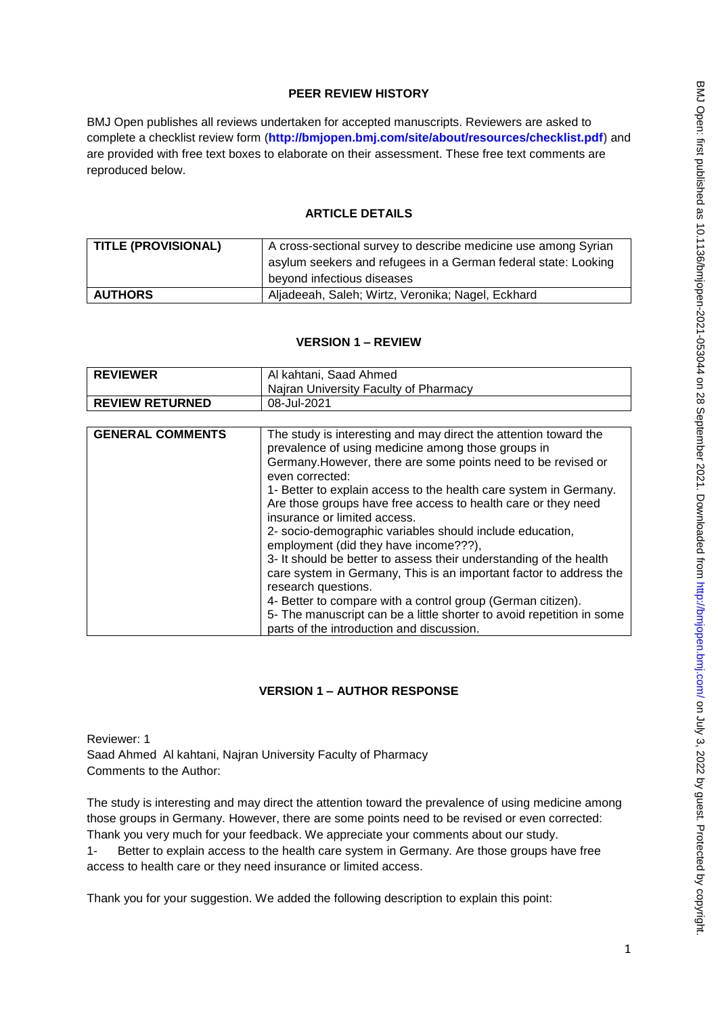## **PEER REVIEW HISTORY**

BMJ Open publishes all reviews undertaken for accepted manuscripts. Reviewers are asked to complete a checklist review form (**[http://bmjopen.bmj.com/site/about/resources/checklist.pdf\)](http://bmjopen.bmj.com/site/about/resources/checklist.pdf)** and are provided with free text boxes to elaborate on their assessment. These free text comments are reproduced below.

## **ARTICLE DETAILS**

| TITLE (PROVISIONAL) | A cross-sectional survey to describe medicine use among Syrian                               |  |  |
|---------------------|----------------------------------------------------------------------------------------------|--|--|
|                     | asylum seekers and refugees in a German federal state: Looking<br>beyond infectious diseases |  |  |
| <b>AUTHORS</b>      | Aljadeeah, Saleh; Wirtz, Veronika; Nagel, Eckhard                                            |  |  |

## **VERSION 1 – REVIEW**

| <b>REVIEWER</b>        | Al kahtani, Saad Ahmed                |  |
|------------------------|---------------------------------------|--|
|                        | Najran University Faculty of Pharmacy |  |
| <b>REVIEW RETURNED</b> | 08-Jul-2021                           |  |

| <b>GENERAL COMMENTS</b> | The study is interesting and may direct the attention toward the<br>prevalence of using medicine among those groups in<br>Germany. However, there are some points need to be revised or |
|-------------------------|-----------------------------------------------------------------------------------------------------------------------------------------------------------------------------------------|
|                         | even corrected:                                                                                                                                                                         |
|                         | 1- Better to explain access to the health care system in Germany.                                                                                                                       |
|                         | Are those groups have free access to health care or they need                                                                                                                           |
|                         | insurance or limited access.                                                                                                                                                            |
|                         | 2- socio-demographic variables should include education,                                                                                                                                |
|                         | employment (did they have income???),                                                                                                                                                   |
|                         | 3- It should be better to assess their understanding of the health                                                                                                                      |
|                         | care system in Germany, This is an important factor to address the                                                                                                                      |
|                         | research questions.                                                                                                                                                                     |
|                         | 4- Better to compare with a control group (German citizen).                                                                                                                             |
|                         | 5- The manuscript can be a little shorter to avoid repetition in some                                                                                                                   |
|                         | parts of the introduction and discussion.                                                                                                                                               |

## **VERSION 1 – AUTHOR RESPONSE**

Reviewer: 1 Saad Ahmed Al kahtani, Najran University Faculty of Pharmacy Comments to the Author:

The study is interesting and may direct the attention toward the prevalence of using medicine among those groups in Germany. However, there are some points need to be revised or even corrected: Thank you very much for your feedback. We appreciate your comments about our study.

1- Better to explain access to the health care system in Germany. Are those groups have free access to health care or they need insurance or limited access.

Thank you for your suggestion. We added the following description to explain this point: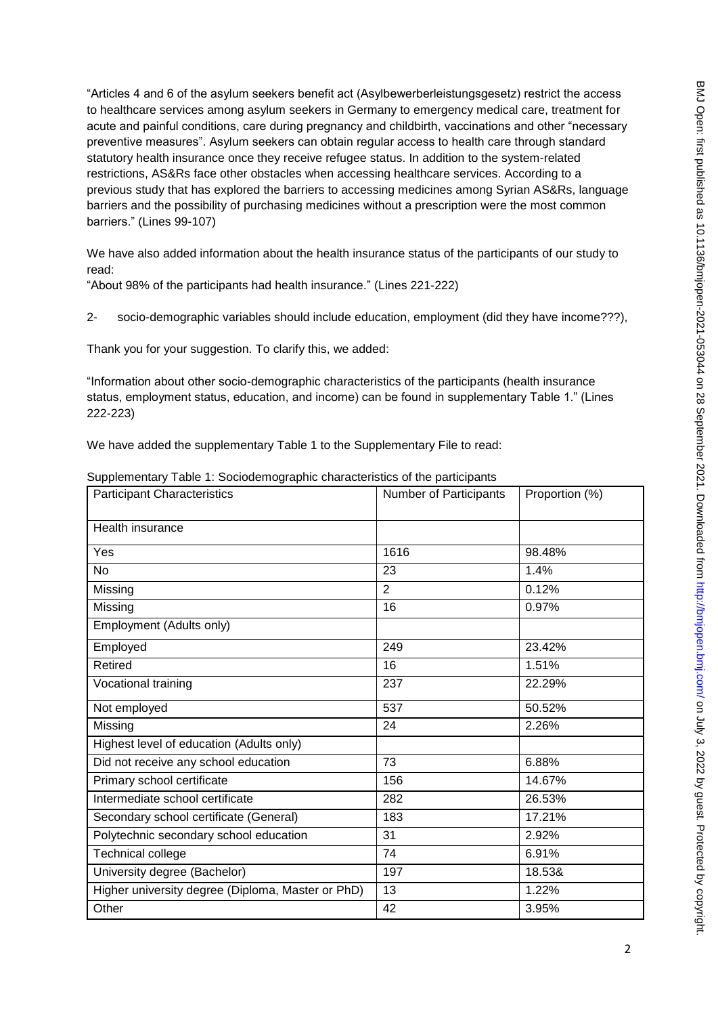"Articles 4 and 6 of the asylum seekers benefit act (Asylbewerberleistungsgesetz) restrict the access to healthcare services among asylum seekers in Germany to emergency medical care, treatment for acute and painful conditions, care during pregnancy and childbirth, vaccinations and other "necessary preventive measures". Asylum seekers can obtain regular access to health care through standard statutory health insurance once they receive refugee status. In addition to the system-related restrictions, AS&Rs face other obstacles when accessing healthcare services. According to a previous study that has explored the barriers to accessing medicines among Syrian AS&Rs, language barriers and the possibility of purchasing medicines without a prescription were the most common barriers." (Lines 99-107)

We have also added information about the health insurance status of the participants of our study to read:

"About 98% of the participants had health insurance." (Lines 221-222)

2- socio-demographic variables should include education, employment (did they have income???),

Thank you for your suggestion. To clarify this, we added:

"Information about other socio-demographic characteristics of the participants (health insurance status, employment status, education, and income) can be found in supplementary Table 1." (Lines 222-223)

We have added the supplementary Table 1 to the Supplementary File to read:

| <b>Participant Characteristics</b>                | Number of Participants | Proportion (%) |
|---------------------------------------------------|------------------------|----------------|
|                                                   |                        |                |
| Health insurance                                  |                        |                |
| Yes                                               | 1616                   | 98.48%         |
| <b>No</b>                                         | 23                     | 1.4%           |
| Missing                                           | 2                      | 0.12%          |
| Missing                                           | 16                     | 0.97%          |
| Employment (Adults only)                          |                        |                |
| Employed                                          | 249                    | 23.42%         |
| <b>Retired</b>                                    | 16                     | 1.51%          |
| Vocational training                               | 237                    | 22.29%         |
| Not employed                                      | 537                    | 50.52%         |
| Missing                                           | 24                     | 2.26%          |
| Highest level of education (Adults only)          |                        |                |
| Did not receive any school education              | 73                     | 6.88%          |
| Primary school certificate                        | 156                    | 14.67%         |
| Intermediate school certificate                   | 282                    | 26.53%         |
| Secondary school certificate (General)            | 183                    | 17.21%         |
| Polytechnic secondary school education            | 31                     | 2.92%          |
| Technical college                                 | 74                     | 6.91%          |
| University degree (Bachelor)                      | 197                    | 18.53&         |
| Higher university degree (Diploma, Master or PhD) | 13                     | 1.22%          |
| Other                                             | 42                     | 3.95%          |

Supplementary Table 1: Sociodemographic characteristics of the participants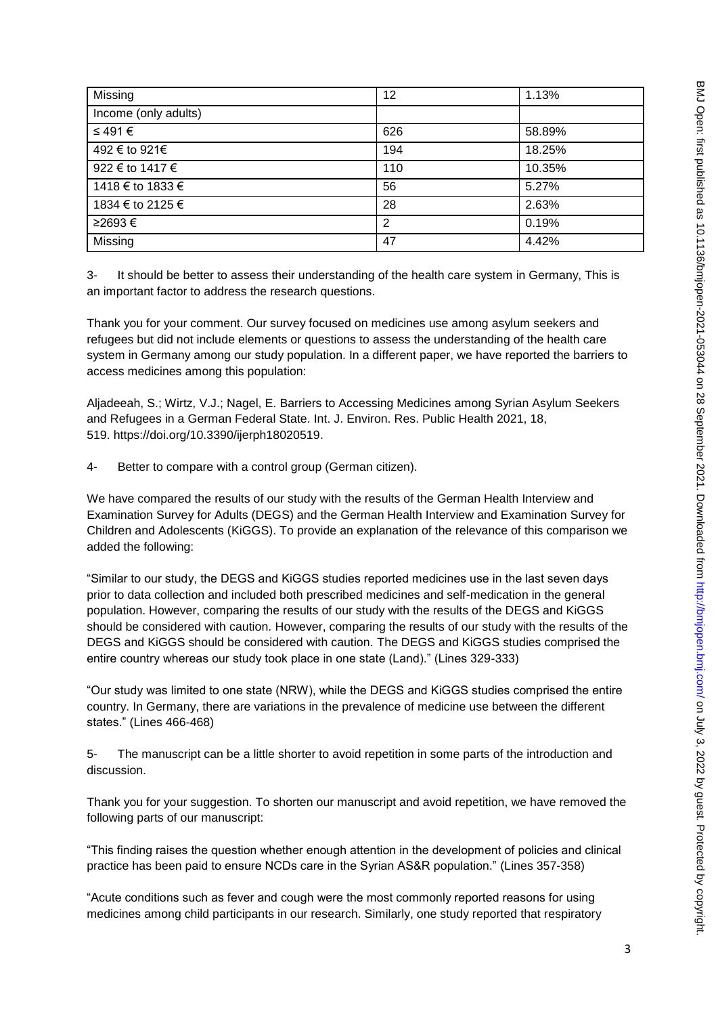| Missing              | 12             | 1.13%  |
|----------------------|----------------|--------|
| Income (only adults) |                |        |
| ≤ 491 €              | 626            | 58.89% |
| 492 € to 921€        | 194            | 18.25% |
| 922 € to 1417 €      | 110            | 10.35% |
| 1418 € to 1833 €     | 56             | 5.27%  |
| 1834 € to 2125 €     | 28             | 2.63%  |
| ≥2693€               | $\overline{2}$ | 0.19%  |
| Missing              | 47             | 4.42%  |

3- It should be better to assess their understanding of the health care system in Germany, This is an important factor to address the research questions.

Thank you for your comment. Our survey focused on medicines use among asylum seekers and refugees but did not include elements or questions to assess the understanding of the health care system in Germany among our study population. In a different paper, we have reported the barriers to access medicines among this population:

Aljadeeah, S.; Wirtz, V.J.; Nagel, E. Barriers to Accessing Medicines among Syrian Asylum Seekers and Refugees in a German Federal State. Int. J. Environ. Res. Public Health 2021, 18, 519. [https://doi.org/10.3390/ijerph18020519.](https://doi.org/10.3390/ijerph18020519)

4- Better to compare with a control group (German citizen).

We have compared the results of our study with the results of the German Health Interview and Examination Survey for Adults (DEGS) and the German Health Interview and Examination Survey for Children and Adolescents (KiGGS). To provide an explanation of the relevance of this comparison we added the following:

"Similar to our study, the DEGS and KiGGS studies reported medicines use in the last seven days prior to data collection and included both prescribed medicines and self-medication in the general population. However, comparing the results of our study with the results of the DEGS and KiGGS should be considered with caution. However, comparing the results of our study with the results of the DEGS and KiGGS should be considered with caution. The DEGS and KiGGS studies comprised the entire country whereas our study took place in one state (Land)." (Lines 329-333)

"Our study was limited to one state (NRW), while the DEGS and KiGGS studies comprised the entire country. In Germany, there are variations in the prevalence of medicine use between the different states." (Lines 466-468)

5- The manuscript can be a little shorter to avoid repetition in some parts of the introduction and discussion.

Thank you for your suggestion. To shorten our manuscript and avoid repetition, we have removed the following parts of our manuscript:

"This finding raises the question whether enough attention in the development of policies and clinical practice has been paid to ensure NCDs care in the Syrian AS&R population." (Lines 357-358)

"Acute conditions such as fever and cough were the most commonly reported reasons for using medicines among child participants in our research. Similarly, one study reported that respiratory